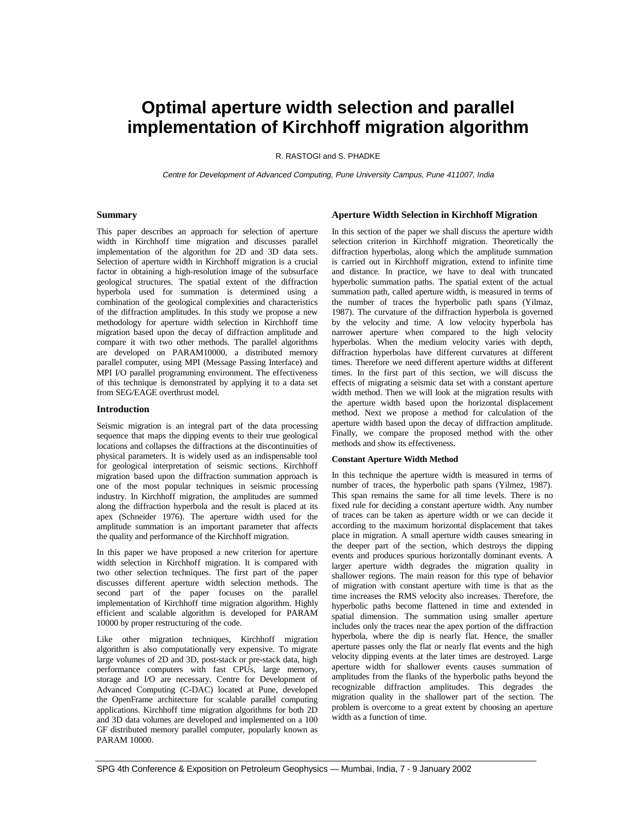# **Optimal aperture width selection and parallel implementation of Kirchhoff migration algorithm**

R. RASTOGI and S. PHADKE

Centre for Development of Advanced Computing, Pune University Campus, Pune 411007, India

## **Summary**

This paper describes an approach for selection of aperture width in Kirchhoff time migration and discusses parallel implementation of the algorithm for 2D and 3D data sets. Selection of aperture width in Kirchhoff migration is a crucial factor in obtaining a high-resolution image of the subsurface geological structures. The spatial extent of the diffraction hyperbola used for summation is determined using a combination of the geological complexities and characteristics of the diffraction amplitudes. In this study we propose a new methodology for aperture width selection in Kirchhoff time migration based upon the decay of diffraction amplitude and compare it with two other methods. The parallel algorithms are developed on PARAM10000, a distributed memory parallel computer, using MPI (Message Passing Interface) and MPI I/O parallel programming environment. The effectiveness of this technique is demonstrated by applying it to a data set from SEG/EAGE overthrust model.

#### **Introduction**

Seismic migration is an integral part of the data processing sequence that maps the dipping events to their true geological locations and collapses the diffractions at the discontinuities of physical parameters. It is widely used as an indispensable tool for geological interpretation of seismic sections. Kirchhoff migration based upon the diffraction summation approach is one of the most popular techniques in seismic processing industry. In Kirchhoff migration, the amplitudes are summed along the diffraction hyperbola and the result is placed at its apex (Schneider 1976). The aperture width used for the amplitude summation is an important parameter that affects the quality and performance of the Kirchhoff migration.

In this paper we have proposed a new criterion for aperture width selection in Kirchhoff migration. It is compared with two other selection techniques. The first part of the paper discusses different aperture width selection methods. The second part of the paper focuses on the parallel implementation of Kirchhoff time migration algorithm. Highly efficient and scalable algorithm is developed for PARAM 10000 by proper restructuring of the code.

Like other migration techniques, Kirchhoff migration algorithm is also computationally very expensive. To migrate large volumes of 2D and 3D, post-stack or pre-stack data, high performance computers with fast CPUs, large memory, storage and I/O are necessary. Centre for Development of Advanced Computing (C-DAC) located at Pune, developed the OpenFrame architecture for scalable parallel computing applications. Kirchhoff time migration algorithms for both 2D and 3D data volumes are developed and implemented on a 100 GF distributed memory parallel computer, popularly known as PARAM 10000.

# **Aperture Width Selection in Kirchhoff Migration**

In this section of the paper we shall discuss the aperture width selection criterion in Kirchhoff migration. Theoretically the diffraction hyperbolas, along which the amplitude summation is carried out in Kirchhoff migration, extend to infinite time and distance. In practice, we have to deal with truncated hyperbolic summation paths. The spatial extent of the actual summation path, called aperture width, is measured in terms of the number of traces the hyperbolic path spans (Yilmaz, 1987). The curvature of the diffraction hyperbola is governed by the velocity and time. A low velocity hyperbola has narrower aperture when compared to the high velocity hyperbolas. When the medium velocity varies with depth, diffraction hyperbolas have different curvatures at different times. Therefore we need different aperture widths at different times. In the first part of this section, we will discuss the effects of migrating a seismic data set with a constant aperture width method. Then we will look at the migration results with the aperture width based upon the horizontal displacement method. Next we propose a method for calculation of the aperture width based upon the decay of diffraction amplitude. Finally, we compare the proposed method with the other methods and show its effectiveness.

## **Constant Aperture Width Method**

In this technique the aperture width is measured in terms of number of traces, the hyperbolic path spans (Yilmez, 1987). This span remains the same for all time levels. There is no fixed rule for deciding a constant aperture width. Any number of traces can be taken as aperture width or we can decide it according to the maximum horizontal displacement that takes place in migration. A small aperture width causes smearing in the deeper part of the section, which destroys the dipping events and produces spurious horizontally dominant events. A larger aperture width degrades the migration quality in shallower regions. The main reason for this type of behavior of migration with constant aperture with time is that as the time increases the RMS velocity also increases. Therefore, the hyperbolic paths become flattened in time and extended in spatial dimension. The summation using smaller aperture includes only the traces near the apex portion of the diffraction hyperbola, where the dip is nearly flat. Hence, the smaller aperture passes only the flat or nearly flat events and the high velocity dipping events at the later times are destroyed. Large aperture width for shallower events causes summation of amplitudes from the flanks of the hyperbolic paths beyond the recognizable diffraction amplitudes. This degrades the migration quality in the shallower part of the section. The problem is overcome to a great extent by choosing an aperture width as a function of time.

SPG 4th Conference & Exposition on Petroleum Geophysics — Mumbai, India, 7 - 9 January 2002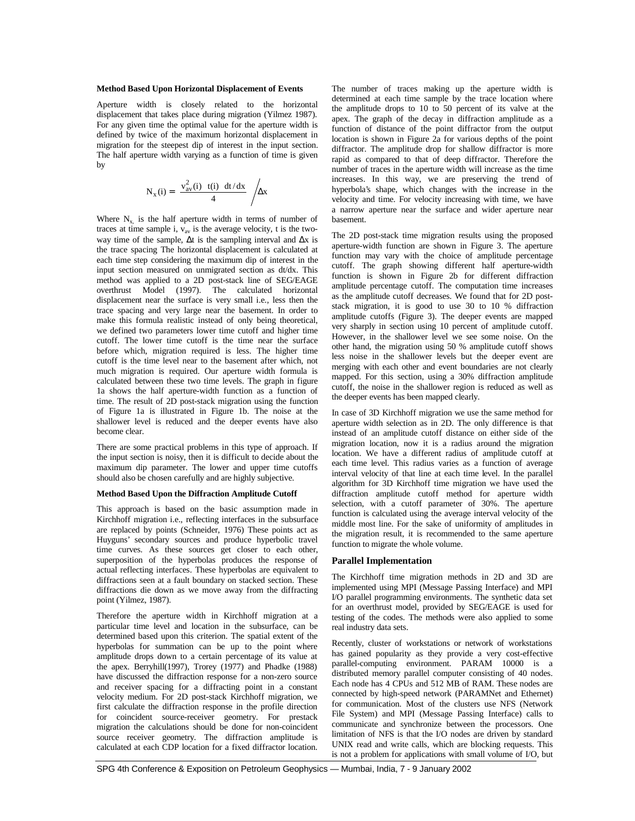#### **Method Based Upon Horizontal Displacement of Events**

Aperture width is closely related to the horizontal displacement that takes place during migration (Yilmez 1987). For any given time the optimal value for the aperture width is defined by twice of the maximum horizontal displacement in migration for the steepest dip of interest in the input section. The half aperture width varying as a function of time is given by

$$
N_x(i) = \left(\frac{v_{av}^2(i) + t(i) + dt/dx}{4}\right) / \Delta x
$$

Where  $N_x$  is the half aperture width in terms of number of traces at time sample i,  $v_{av}$  is the average velocity, t is the twoway time of the sample, ∆t is the sampling interval and ∆x is the trace spacing The horizontal displacement is calculated at each time step considering the maximum dip of interest in the input section measured on unmigrated section as dt/dx. This method was applied to a 2D post-stack line of SEG/EAGE overthrust Model (1997). The calculated horizontal displacement near the surface is very small i.e., less then the trace spacing and very large near the basement. In order to make this formula realistic instead of only being theoretical, we defined two parameters lower time cutoff and higher time cutoff. The lower time cutoff is the time near the surface before which, migration required is less. The higher time cutoff is the time level near to the basement after which, not much migration is required. Our aperture width formula is calculated between these two time levels. The graph in figure 1a shows the half aperture-width function as a function of time. The result of 2D post-stack migration using the function of Figure 1a is illustrated in Figure 1b. The noise at the shallower level is reduced and the deeper events have also become clear.

There are some practical problems in this type of approach. If the input section is noisy, then it is difficult to decide about the maximum dip parameter. The lower and upper time cutoffs should also be chosen carefully and are highly subjective.

# **Method Based Upon the Diffraction Amplitude Cutoff**

This approach is based on the basic assumption made in Kirchhoff migration i.e., reflecting interfaces in the subsurface are replaced by points (Schneider, 1976) These points act as Huyguns' secondary sources and produce hyperbolic travel time curves. As these sources get closer to each other, superposition of the hyperbolas produces the response of actual reflecting interfaces. These hyperbolas are equivalent to diffractions seen at a fault boundary on stacked section. These diffractions die down as we move away from the diffracting point (Yilmez, 1987).

Therefore the aperture width in Kirchhoff migration at a particular time level and location in the subsurface, can be determined based upon this criterion. The spatial extent of the hyperbolas for summation can be up to the point where amplitude drops down to a certain percentage of its value at the apex. Berryhill(1997), Trorey (1977) and Phadke (1988) have discussed the diffraction response for a non-zero source and receiver spacing for a diffracting point in a constant velocity medium. For 2D post-stack Kirchhoff migration, we first calculate the diffraction response in the profile direction for coincident source-receiver geometry. For prestack migration the calculations should be done for non-coincident source receiver geometry. The diffraction amplitude is calculated at each CDP location for a fixed diffractor location.

The number of traces making up the aperture width is determined at each time sample by the trace location where the amplitude drops to 10 to 50 percent of its valve at the apex. The graph of the decay in diffraction amplitude as a function of distance of the point diffractor from the output location is shown in Figure 2a for various depths of the point diffractor. The amplitude drop for shallow diffractor is more rapid as compared to that of deep diffractor. Therefore the number of traces in the aperture width will increase as the time increases. In this way, we are preserving the trend of hyperbola's shape, which changes with the increase in the velocity and time. For velocity increasing with time, we have a narrow aperture near the surface and wider aperture near basement.

The 2D post-stack time migration results using the proposed aperture-width function are shown in Figure 3. The aperture function may vary with the choice of amplitude percentage cutoff. The graph showing different half aperture-width function is shown in Figure 2b for different diffraction amplitude percentage cutoff. The computation time increases as the amplitude cutoff decreases. We found that for 2D poststack migration, it is good to use 30 to 10 % diffraction amplitude cutoffs (Figure 3). The deeper events are mapped very sharply in section using 10 percent of amplitude cutoff. However, in the shallower level we see some noise. On the other hand, the migration using 50 % amplitude cutoff shows less noise in the shallower levels but the deeper event are merging with each other and event boundaries are not clearly mapped. For this section, using a 30% diffraction amplitude cutoff, the noise in the shallower region is reduced as well as the deeper events has been mapped clearly.

In case of 3D Kirchhoff migration we use the same method for aperture width selection as in 2D. The only difference is that instead of an amplitude cutoff distance on either side of the migration location, now it is a radius around the migration location. We have a different radius of amplitude cutoff at each time level. This radius varies as a function of average interval velocity of that line at each time level. In the parallel algorithm for 3D Kirchhoff time migration we have used the diffraction amplitude cutoff method for aperture width selection, with a cutoff parameter of 30%. The aperture function is calculated using the average interval velocity of the middle most line. For the sake of uniformity of amplitudes in the migration result, it is recommended to the same aperture function to migrate the whole volume.

## **Parallel Implementation**

The Kirchhoff time migration methods in 2D and 3D are implemented using MPI (Message Passing Interface) and MPI I/O parallel programming environments. The synthetic data set for an overthrust model, provided by SEG/EAGE is used for testing of the codes. The methods were also applied to some real industry data sets.

Recently, cluster of workstations or network of workstations has gained popularity as they provide a very cost-effective parallel-computing environment. PARAM 10000 is a distributed memory parallel computer consisting of 40 nodes. Each node has 4 CPUs and 512 MB of RAM. These nodes are connected by high-speed network (PARAMNet and Ethernet) for communication. Most of the clusters use NFS (Network File System) and MPI (Message Passing Interface) calls to communicate and synchronize between the processors. One limitation of NFS is that the I/O nodes are driven by standard UNIX read and write calls, which are blocking requests. This is not a problem for applications with small volume of I/O, but

SPG 4th Conference & Exposition on Petroleum Geophysics — Mumbai, India, 7 - 9 January 2002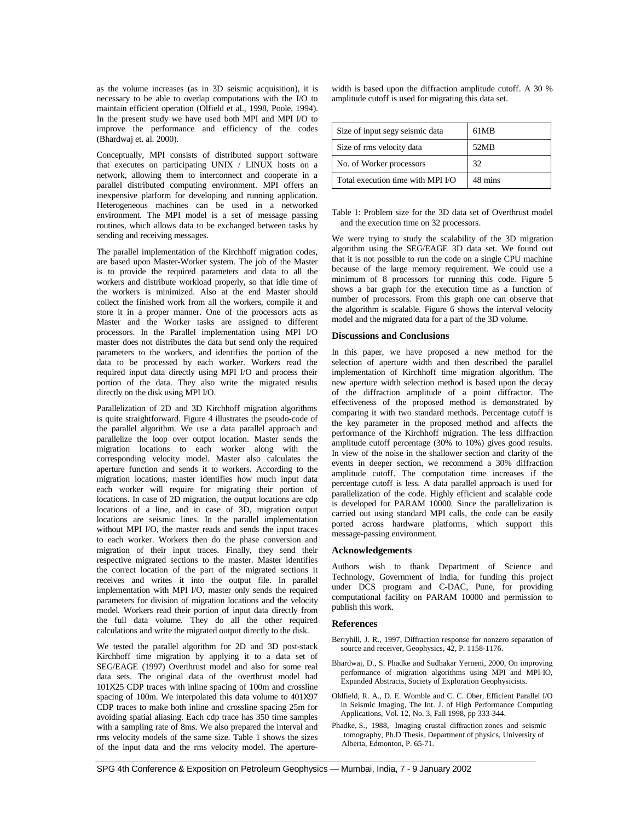as the volume increases (as in 3D seismic acquisition), it is necessary to be able to overlap computations with the I/O to maintain efficient operation (Olfield et al., 1998, Poole, 1994). In the present study we have used both MPI and MPI I/O to improve the performance and efficiency of the codes (Bhardwaj et. al. 2000).

Conceptually, MPI consists of distributed support software that executes on participating UNIX / LINUX hosts on a network, allowing them to interconnect and cooperate in a parallel distributed computing environment. MPI offers an inexpensive platform for developing and running application. Heterogeneous machines can be used in a networked environment. The MPI model is a set of message passing routines, which allows data to be exchanged between tasks by sending and receiving messages.

The parallel implementation of the Kirchhoff migration codes, are based upon Master-Worker system. The job of the Master is to provide the required parameters and data to all the workers and distribute workload properly, so that idle time of the workers is minimized. Also at the end Master should collect the finished work from all the workers, compile it and store it in a proper manner. One of the processors acts as Master and the Worker tasks are assigned to different processors. In the Parallel implementation using MPI I/O master does not distributes the data but send only the required parameters to the workers, and identifies the portion of the data to be processed by each worker. Workers read the required input data directly using MPI I/O and process their portion of the data. They also write the migrated results directly on the disk using MPI I/O.

Parallelization of 2D and 3D Kirchhoff migration algorithms is quite straightforward. Figure 4 illustrates the pseudo-code of the parallel algorithm. We use a data parallel approach and parallelize the loop over output location. Master sends the migration locations to each worker along with the corresponding velocity model. Master also calculates the aperture function and sends it to workers. According to the migration locations, master identifies how much input data each worker will require for migrating their portion of locations. In case of 2D migration, the output locations are cdp locations of a line, and in case of 3D, migration output locations are seismic lines. In the parallel implementation without MPI I/O, the master reads and sends the input traces to each worker. Workers then do the phase conversion and migration of their input traces. Finally, they send their respective migrated sections to the master. Master identifies the correct location of the part of the migrated sections it receives and writes it into the output file. In parallel implementation with MPI I/O, master only sends the required parameters for division of migration locations and the velocity model. Workers read their portion of input data directly from the full data volume. They do all the other required calculations and write the migrated output directly to the disk.

We tested the parallel algorithm for 2D and 3D post-stack Kirchhoff time migration by applying it to a data set of SEG/EAGE (1997) Overthrust model and also for some real data sets. The original data of the overthrust model had 101X25 CDP traces with inline spacing of 100m and crossline spacing of 100m. We interpolated this data volume to 401X97 CDP traces to make both inline and crossline spacing 25m for avoiding spatial aliasing. Each cdp trace has 350 time samples with a sampling rate of 8ms. We also prepared the interval and rms velocity models of the same size. Table 1 shows the sizes of the input data and the rms velocity model. The aperturewidth is based upon the diffraction amplitude cutoff. A 30 % amplitude cutoff is used for migrating this data set.

| Size of input segy seismic data   | 61MB    |
|-----------------------------------|---------|
| Size of rms velocity data         | 52MB    |
| No. of Worker processors          | 32      |
| Total execution time with MPI I/O | 48 mins |

Table 1: Problem size for the 3D data set of Overthrust model and the execution time on 32 processors.

We were trying to study the scalability of the 3D migration algorithm using the SEG/EAGE 3D data set. We found out that it is not possible to run the code on a single CPU machine because of the large memory requirement. We could use a minimum of 8 processors for running this code. Figure 5 shows a bar graph for the execution time as a function of number of processors. From this graph one can observe that the algorithm is scalable. Figure 6 shows the interval velocity model and the migrated data for a part of the 3D volume.

# **Discussions and Conclusions**

In this paper, we have proposed a new method for the selection of aperture width and then described the parallel implementation of Kirchhoff time migration algorithm. The new aperture width selection method is based upon the decay of the diffraction amplitude of a point diffractor. The effectiveness of the proposed method is demonstrated by comparing it with two standard methods. Percentage cutoff is the key parameter in the proposed method and affects the performance of the Kirchhoff migration. The less diffraction amplitude cutoff percentage (30% to 10%) gives good results. In view of the noise in the shallower section and clarity of the events in deeper section, we recommend a 30% diffraction amplitude cutoff. The computation time increases if the percentage cutoff is less. A data parallel approach is used for parallelization of the code. Highly efficient and scalable code is developed for PARAM 10000. Since the parallelization is carried out using standard MPI calls, the code can be easily ported across hardware platforms, which support this message-passing environment.

# **Acknowledgements**

Authors wish to thank Department of Science and Technology, Government of India, for funding this project under DCS program and C-DAC, Pune, for providing computational facility on PARAM 10000 and permission to publish this work.

# **References**

- Berryhill, J. R., 1997, Diffraction response for nonzero separation of source and receiver, Geophysics, 42, P. 1158-1176.
- Bhardwaj, D., S. Phadke and Sudhakar Yerneni, 2000, On improving performance of migration algorithms using MPI and MPI-IO, Expanded Abstracts, Society of Exploration Geophysicists.
- Oldfield, R. A., D. E. Womble and C. C. Ober, Efficient Parallel I/O in Seismic Imaging, The Int. J. of High Performance Computing Applications, Vol. 12, No. 3, Fall 1998, pp 333-344.
- Phadke, S., 1988, Imaging crustal diffraction zones and seismic tomography, Ph.D Thesis, Department of physics, University of Alberta, Edmonton, P. 65-71.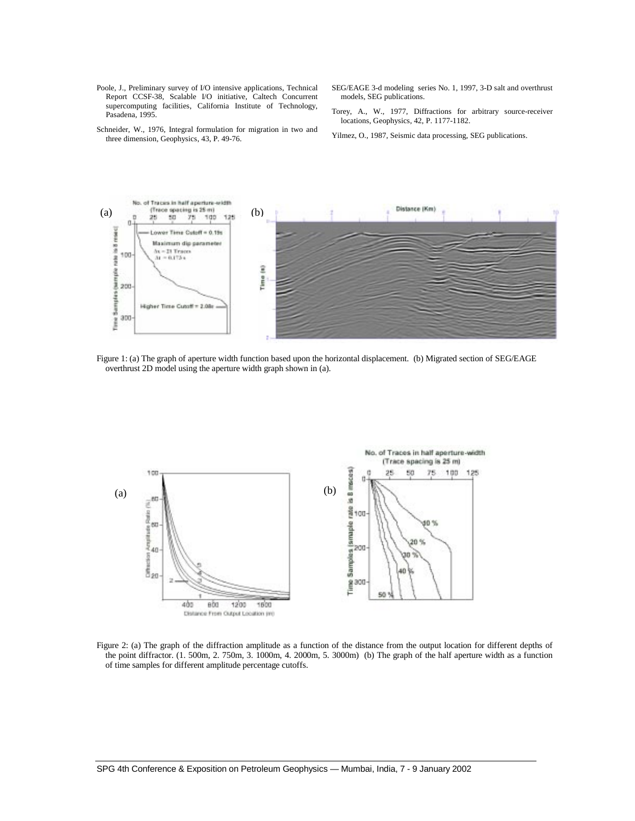- Poole, J., Preliminary survey of I/O intensive applications, Technical Report CCSF-38, Scalable I/O initiative, Caltech Concurrent supercomputing facilities, California Institute of Technology, Pasadena, 1995.
- SEG/EAGE 3-d modeling series No. 1, 1997, 3-D salt and overthrust models, SEG publications.
- Torey, A., W., 1977, Diffractions for arbitrary source-receiver locations, Geophysics, 42, P. 1177-1182.
- Schneider, W., 1976, Integral formulation for migration in two and three dimension, Geophysics, 43, P. 49-76.
- Yilmez, O., 1987, Seismic data processing, SEG publications.



Figure 1: (a) The graph of aperture width function based upon the horizontal displacement. (b) Migrated section of SEG/EAGE overthrust 2D model using the aperture width graph shown in (a).



Figure 2: (a) The graph of the diffraction amplitude as a function of the distance from the output location for different depths of the point diffractor. (1. 500m, 2. 750m, 3. 1000m, 4. 2000m, 5. 3000m) (b) The graph of the half aperture width as a function of time samples for different amplitude percentage cutoffs.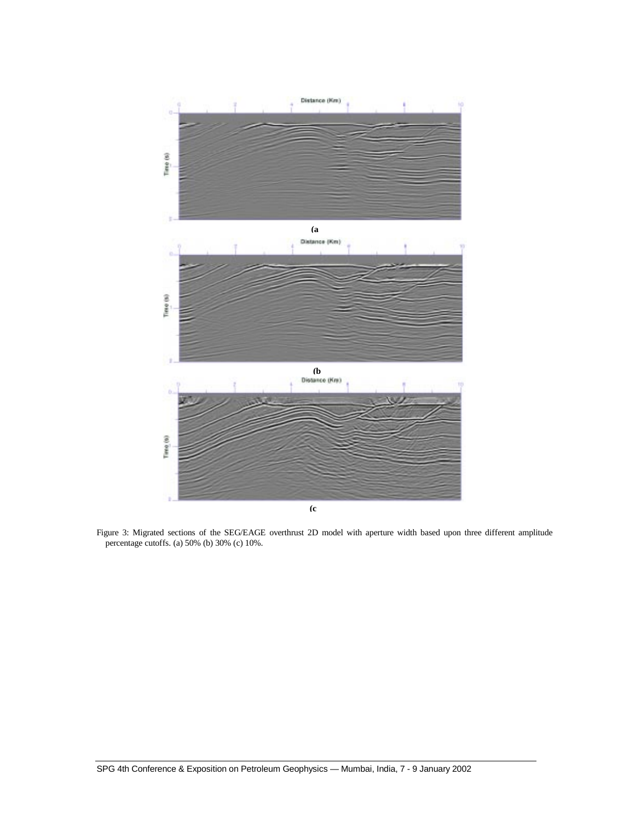

Figure 3: Migrated sections of the SEG/EAGE overthrust 2D model with aperture width based upon three different amplitude percentage cutoffs. (a) 50% (b) 30% (c) 10%.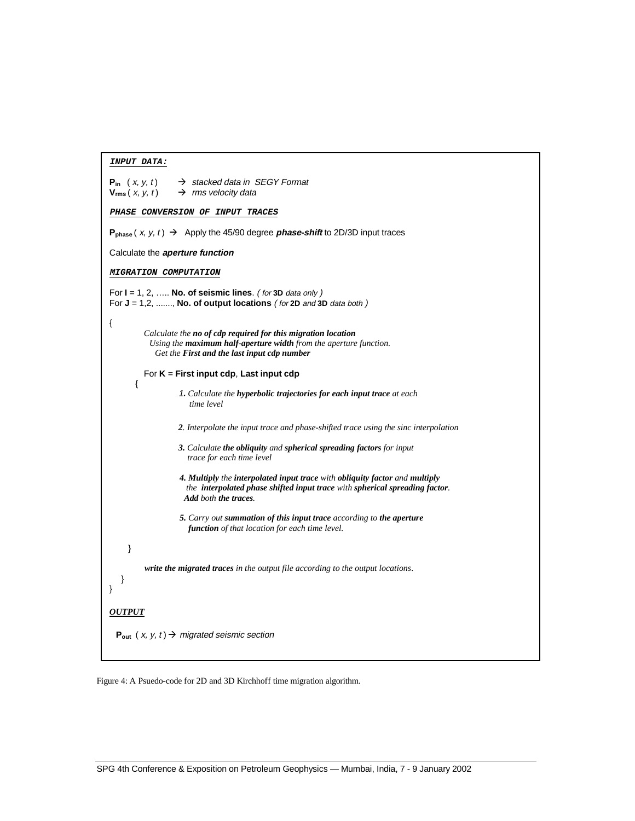| $\rightarrow$ stacked data in SEGY Format<br><b>P</b> <sub>in</sub> $(x, y, t)$<br>$\rightarrow$ rms velocity data<br>$V_{rms}(x, y, t)$                                                            |
|-----------------------------------------------------------------------------------------------------------------------------------------------------------------------------------------------------|
| PHASE CONVERSION OF INPUT TRACES                                                                                                                                                                    |
| $P_{phase}(x, y, t) \rightarrow$ Apply the 45/90 degree <i>phase-shift</i> to 2D/3D input traces                                                                                                    |
| Calculate the aperture function                                                                                                                                                                     |
| <i>MIGRATION COMPUTATION</i>                                                                                                                                                                        |
| For $I = 1, 2, \ldots$ No. of seismic lines. (for 3D data only )<br>For $J = 1, 2, \ldots$ , No. of output locations (for 2D and 3D data both)                                                      |
| ₹<br>Calculate the no of cdp required for this migration location<br>Using the <b>maximum half-aperture width</b> from the aperture function.<br>Get the <b>First and the last input cdp number</b> |
| For $K =$ First input cdp, Last input cdp                                                                                                                                                           |
| $\{$<br>1. Calculate the hyperbolic trajectories for each input trace at each<br>time level                                                                                                         |
| 2. Interpolate the input trace and phase-shifted trace using the sinc interpolation                                                                                                                 |
| 3. Calculate the obliquity and spherical spreading factors for input<br>trace for each time level                                                                                                   |
| 4. Multiply the interpolated input trace with obliquity factor and multiply<br>the interpolated phase shifted input trace with spherical spreading factor.<br>Add both the traces.                  |
| <b>5.</b> Carry out summation of this input trace according to the aperture<br>function of that location for each time level.                                                                       |
| }                                                                                                                                                                                                   |
| write the migrated traces in the output file according to the output locations.<br>ł<br>ł                                                                                                           |
| <i><b>OUTPUT</b></i>                                                                                                                                                                                |
| $P_{out}$ (x, y, t) $\rightarrow$ migrated seismic section                                                                                                                                          |